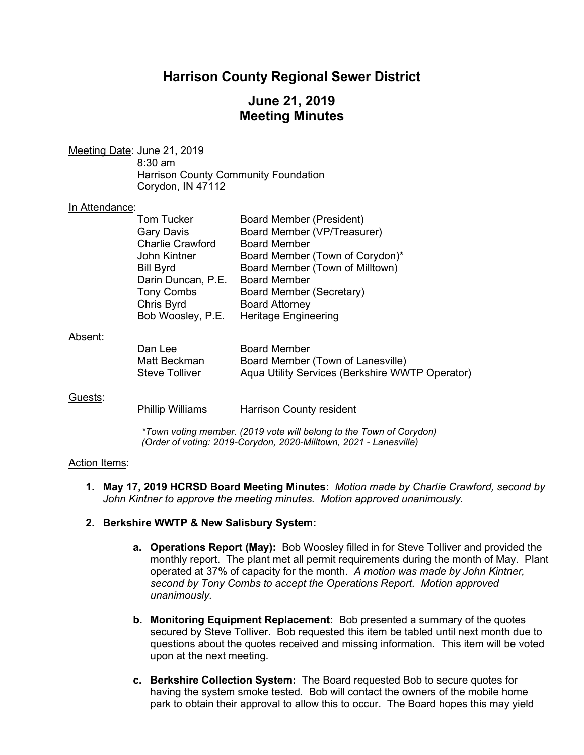## **Harrison County Regional Sewer District**

## **June 21, 2019 Meeting Minutes**

Meeting Date: June 21, 2019 8:30 am Harrison County Community Foundation Corydon, IN 47112

#### In Attendance:

| <b>Tom Tucker</b>       | <b>Board Member (President)</b> |
|-------------------------|---------------------------------|
| <b>Gary Davis</b>       | Board Member (VP/Treasurer)     |
| <b>Charlie Crawford</b> | <b>Board Member</b>             |
| John Kintner            | Board Member (Town of Corydon)* |
| <b>Bill Byrd</b>        | Board Member (Town of Milltown) |
| Darin Duncan, P.E.      | <b>Board Member</b>             |
| <b>Tony Combs</b>       | Board Member (Secretary)        |
| Chris Byrd              | <b>Board Attorney</b>           |
| Bob Woosley, P.E.       | <b>Heritage Engineering</b>     |
|                         |                                 |

#### Absent:

| Dan Lee               | <b>Board Member</b>                             |
|-----------------------|-------------------------------------------------|
| Matt Beckman          | Board Member (Town of Lanesville)               |
| <b>Steve Tolliver</b> | Aqua Utility Services (Berkshire WWTP Operator) |

### Guests:

Phillip Williams Harrison County resident

*\*Town voting member. (2019 vote will belong to the Town of Corydon) (Order of voting: 2019-Corydon, 2020-Milltown, 2021 - Lanesville)*

### Action Items:

**1. May 17, 2019 HCRSD Board Meeting Minutes:** *Motion made by Charlie Crawford, second by John Kintner to approve the meeting minutes. Motion approved unanimously.*

### **2. Berkshire WWTP & New Salisbury System:**

- **a. Operations Report (May):** Bob Woosley filled in for Steve Tolliver and provided the monthly report. The plant met all permit requirements during the month of May. Plant operated at 37% of capacity for the month. *A motion was made by John Kintner, second by Tony Combs to accept the Operations Report. Motion approved unanimously.*
- **b. Monitoring Equipment Replacement:** Bob presented a summary of the quotes secured by Steve Tolliver. Bob requested this item be tabled until next month due to questions about the quotes received and missing information. This item will be voted upon at the next meeting.
- **c. Berkshire Collection System:** The Board requested Bob to secure quotes for having the system smoke tested. Bob will contact the owners of the mobile home park to obtain their approval to allow this to occur. The Board hopes this may yield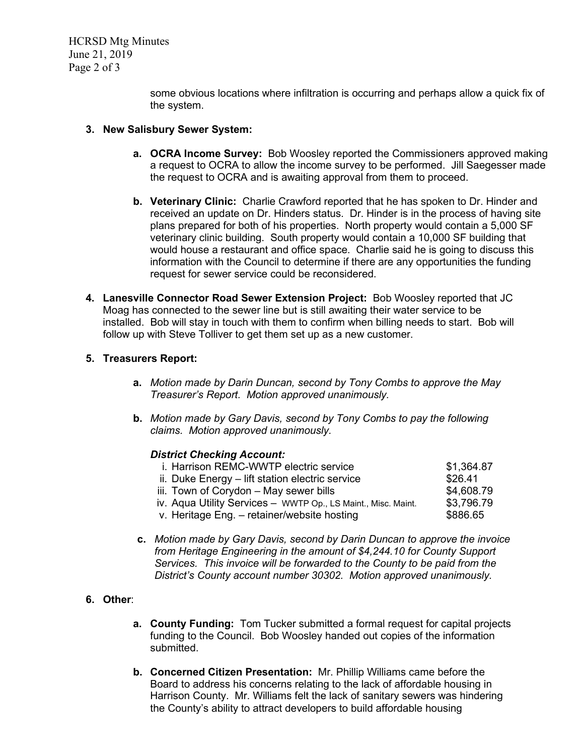HCRSD Mtg Minutes June 21, 2019 Page 2 of 3

> some obvious locations where infiltration is occurring and perhaps allow a quick fix of the system.

- **3. New Salisbury Sewer System:**
	- **a. OCRA Income Survey:** Bob Woosley reported the Commissioners approved making a request to OCRA to allow the income survey to be performed. Jill Saegesser made the request to OCRA and is awaiting approval from them to proceed.
	- **b. Veterinary Clinic:** Charlie Crawford reported that he has spoken to Dr. Hinder and received an update on Dr. Hinders status. Dr. Hinder is in the process of having site plans prepared for both of his properties. North property would contain a 5,000 SF veterinary clinic building. South property would contain a 10,000 SF building that would house a restaurant and office space. Charlie said he is going to discuss this information with the Council to determine if there are any opportunities the funding request for sewer service could be reconsidered.
- **4. Lanesville Connector Road Sewer Extension Project:** Bob Woosley reported that JC Moag has connected to the sewer line but is still awaiting their water service to be installed. Bob will stay in touch with them to confirm when billing needs to start. Bob will follow up with Steve Tolliver to get them set up as a new customer.

### **5. Treasurers Report:**

- **a.** *Motion made by Darin Duncan, second by Tony Combs to approve the May Treasurer's Report. Motion approved unanimously.*
- **b.** *Motion made by Gary Davis, second by Tony Combs to pay the following claims. Motion approved unanimously.*

### *District Checking Account:*

| i. Harrison REMC-WWTP electric service                        | \$1,364.87 |
|---------------------------------------------------------------|------------|
| ii. Duke Energy - lift station electric service               | \$26.41    |
| iii. Town of Corydon - May sewer bills                        | \$4,608.79 |
| iv. Aqua Utility Services - WWTP Op., LS Maint., Misc. Maint. | \$3,796.79 |
| v. Heritage Eng. - retainer/website hosting                   | \$886.65   |
|                                                               |            |

**c.** *Motion made by Gary Davis, second by Darin Duncan to approve the invoice from Heritage Engineering in the amount of \$4,244.10 for County Support Services. This invoice will be forwarded to the County to be paid from the District's County account number 30302. Motion approved unanimously.*

## **6. Other**:

- **a. County Funding:** Tom Tucker submitted a formal request for capital projects funding to the Council. Bob Woosley handed out copies of the information submitted.
- **b. Concerned Citizen Presentation:** Mr. Phillip Williams came before the Board to address his concerns relating to the lack of affordable housing in Harrison County. Mr. Williams felt the lack of sanitary sewers was hindering the County's ability to attract developers to build affordable housing